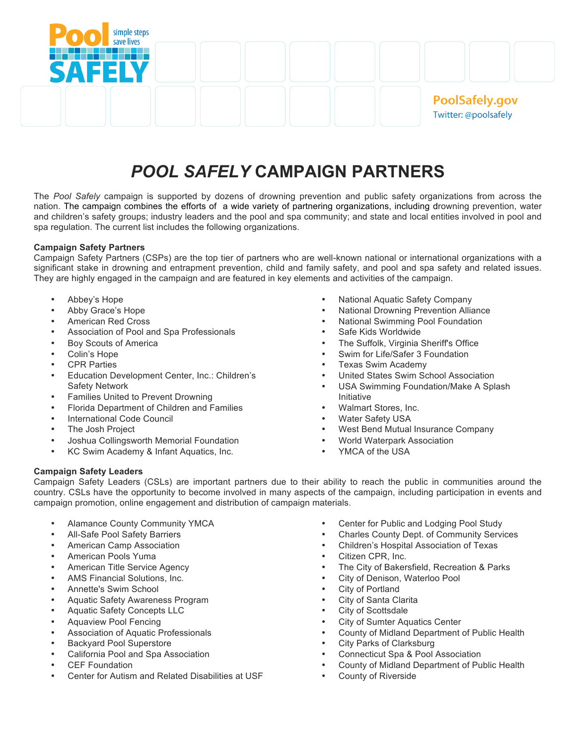

## *POOL!SAFELY* **CAMPAIGN!PARTNERS**

The Pool Safely campaign is supported by dozens of drowning prevention and public safety organizations from across the nation. The campaign combines the efforts of a wide variety of partnering organizations, including drowning prevention, water and children's safety groups; industry leaders and the pool and spa community; and state and local entities involved in pool and spa regulation. The current list includes the following organizations.

## **Campaign!Safety!Partners**

Campaign Safety Partners (CSPs) are the top tier of partners who are well-known national or international organizations with a significant stake in drowning and entrapment prevention, child and family safety, and pool and spa safety and related issues. They are highly engaged in the campaign and are featured in key elements and activities of the campaign.

- Abbey's Hope
- Abby Grace's Hope
- American Red Cross
- Association of Pool and Spa Professionals
- Boy Scouts of America
- Colin's Hope
- **CPR Parties**
- Education Development Center, Inc.: Children's Safety Network
- Families United to Prevent Drowning
- Florida Department of Children and Families
- International Code Council
- The Josh Project
- Joshua Collingsworth Memorial Foundation
- KC Swim Academy & Infant Aquatics, Inc.
- National Aquatic Safety Company
- National Drowning Prevention Alliance
- National Swimming Pool Foundation
- Safe Kids Worldwide
- The Suffolk, Virginia Sheriff's Office
- Swim for Life/Safer 3 Foundation
- Texas Swim Academy
- United States Swim School Association
- USA Swimming Foundation/Make A Splash Initiative
- Walmart Stores, Inc.
- **Water Safety USA**
- West Bend Mutual Insurance Company
- World Waterpark Association
- YMCA of the USA

## **Campaign!Safety!Leaders**

Campaign Safety Leaders (CSLs) are important partners due to their ability to reach the public in communities around the country. CSLs have the opportunity to become involved in many aspects of the campaign, including participation in events and campaign promotion, online engagement and distribution of campaign materials.

- Alamance County Community YMCA
- All-Safe Pool Safety Barriers
- American Camp Association
- American Pools Yuma
- American Title Service Agency
- AMS Financial Solutions, Inc.
- Annette's Swim School
- Aquatic Safety Awareness Program
- Aquatic Safety Concepts LLC
- Aquaview Pool Fencing
- Association of Aquatic Professionals
- Backvard Pool Superstore
- California Pool and Spa Association
- **CEF Foundation**
- Center for Autism and Related Disabilities at USF
- Center for Public and Lodging Pool Study
- Charles County Dept. of Community Services
- Children's Hospital Association of Texas
- Citizen CPR, Inc.
- The City of Bakersfield, Recreation & Parks
- City of Denison, Waterloo Pool
- City of Portland
- City of Santa Clarita
- City of Scottsdale
- City of Sumter Aquatics Center
- County of Midland Department of Public Health
- City Parks of Clarksburg
- Connecticut Spa & Pool Association
- County of Midland Department of Public Health
- County of Riverside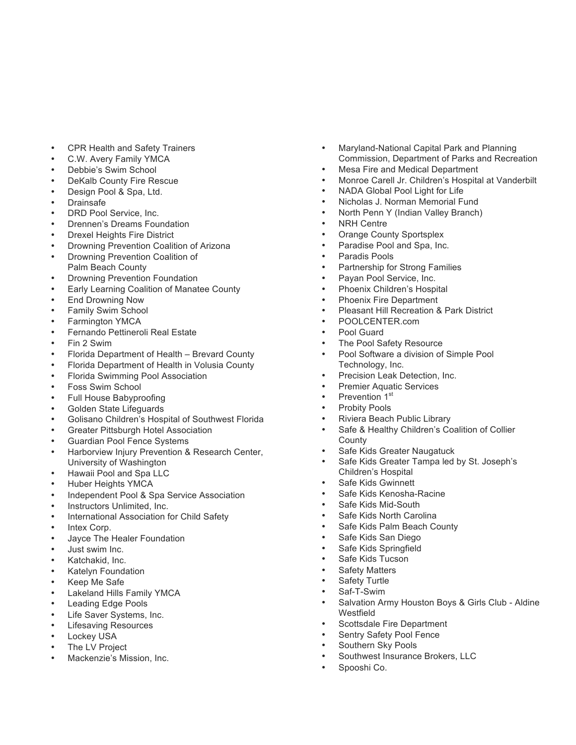- CPR Health and Safety Trainers
- C.W. Avery Family YMCA
- Debbie's Swim School
- DeKalb County Fire Rescue
- Design Pool & Spa, Ltd.
- **Drainsafe**
- DRD Pool Service, Inc.
- Drennen's Dreams Foundation
- Drexel Heights Fire District
- **Drowning Prevention Coalition of Arizona**
- Drowning Prevention Coalition of Palm!Beach County
- **Drowning Prevention Foundation**
- Early Learning Coalition of Manatee County
- End Drowning Now
- Family Swim School
- Farmington YMCA
- Fernando Pettineroli Real Estate
- Fin 2 Swim
- Florida Department of Health Brevard County
- Florida Department of Health in Volusia County
- Florida Swimming Pool Association
- Foss Swim School
- Full House Babyproofing
- Golden State Lifeguards
- Golisano Children's Hospital of Southwest Florida
- **Greater Pittsburgh Hotel Association**
- Guardian Pool Fence Systems
- Harborview Injury Prevention & Research Center, University of Washington
- Hawaii Pool and Spa LLC
- Huber Heights YMCA
- Independent Pool & Spa Service Association
- Instructors Unlimited, Inc.
- International Association for Child Safety
- Intex Corp.
- Jayce The Healer Foundation
- Just swim Inc.
- Katchakid, Inc.
- Katelyn Foundation
- Keep Me Safe
- Lakeland Hills Family YMCA
- Leading Edge Pools
- Life Saver Systems, Inc.
- **Lifesaving Resources**
- Lockey USA
- The LV Project
- Mackenzie's Mission, Inc.
- Maryland-National Capital Park and Planning Commission, Department of Parks and Recreation
- Mesa Fire and Medical Department
- Monroe Carell Jr. Children's Hospital at Vanderbilt
- NADA Global Pool Light for Life
- Nicholas J. Norman Memorial Fund
- North Penn Y (Indian Valley Branch)
- **NRH Centre**
- **Orange County Sportsplex**
- Paradise Pool and Spa, Inc.
- Paradis Pools
- Partnership for Strong Families
- Payan Pool Service, Inc.
- Phoenix Children's Hospital
- Phoenix Fire Department
- Pleasant Hill Recreation & Park District
- POOLCENTER.com
- Pool Guard
- The Pool Safety Resource
- Pool Software a division of Simple Pool Technology, Inc.
- Precision Leak Detection, Inc.
- Premier Aquatic Services
- Prevention 1st
- Probity Pools
- Riviera Beach Public Library
- Safe & Healthy Children's Coalition of Collier County
- Safe Kids Greater Naugatuck
- Safe Kids Greater Tampa led by St. Joseph's Children's Hospital
- Safe Kids Gwinnett
- Safe Kids Kenosha-Racine
- Safe Kids Mid-South
- Safe Kids North Carolina
- Safe Kids Palm Beach County
- Safe Kids San Diego
- Safe Kids Springfield
- Safe Kids Tucson
- **Safety Matters**
- Safety Turtle
- Saf-T-Swim
- Salvation Army Houston Boys & Girls Club Aldine Westfield
- Scottsdale Fire Department
- Sentry Safety Pool Fence
- Southern Sky Pools
- Southwest Insurance Brokers, LLC
- Spooshi Co.